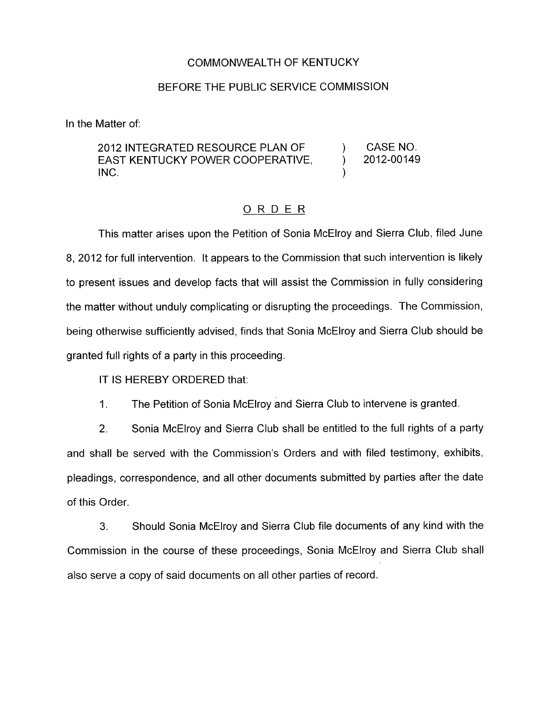## COMMONWEALTH OF KENTUCKY

## BEFORE THE PUBLIC SERVICE COMMISSION

In the Matter of:

## 2012 INTEGRATED RESOURCE PLAN OF ) CASENO. EAST KENTUCKY POWER COOPERATIVE, 2012-00149  $\left( \text{NC.} \right)$

## ORDER

This matter arises upon the Petition of Sonia McElroy and Sierra Club, filed June 8, 2012 for full intervention. It appears to the Commission that such intervention is likely to present issues and develop facts that will assist the Commission in fully considering the matter without unduly complicating or disrupting the proceedings. The Commission, being otherwise sufficiently advised, finds that Sonia McElroy and Sierra Club should be granted full rights of a party in this proceeding.

IT IS HEREBY ORDERED that:

1. The Petition of Sonia McElroy and Sierra Club to intervene is granted.

2. Sonia McElroy and Sierra Club shall be entitled to the full rights of a party and shall be served with the Commission's Orders and with filed testimony: exhibits, pleadings, correspondence, and all other documents submitted by parties after the date of this Order.

**3.** Should Sonia McElroy and Sierra Club file documents of any kind with the Commission in the course of these proceedings, Sonia McElroy and Sierra Club shall also serve a copy of said documents on all other parties of record.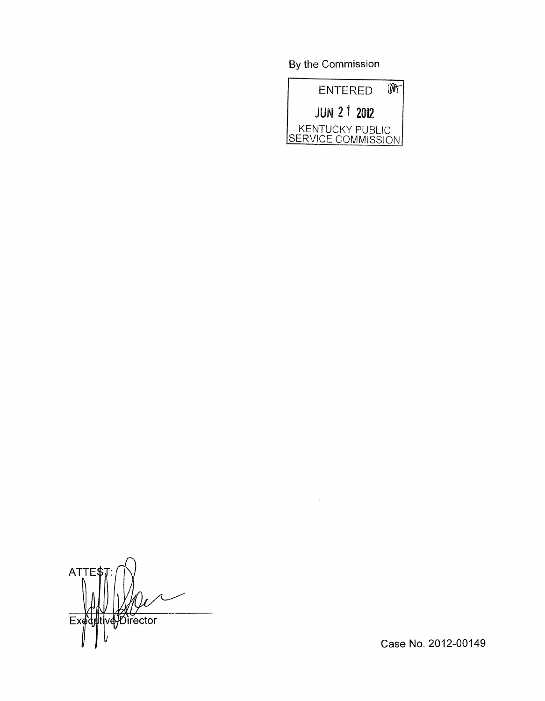By the Commission



 $\sqrt{2}$ **ATTES**  $Exef$ t∣ve}Director

Case No. 2012-00149